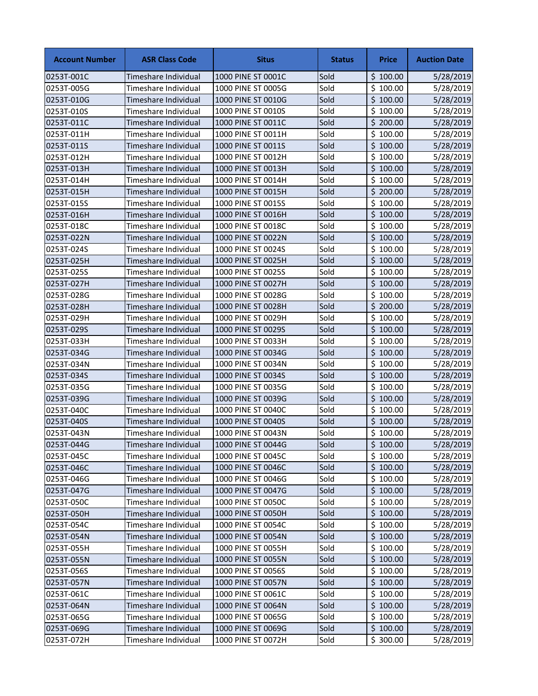| <b>Account Number</b> | <b>ASR Class Code</b> | <b>Situs</b>       | <b>Status</b> | Price    | <b>Auction Date</b> |
|-----------------------|-----------------------|--------------------|---------------|----------|---------------------|
| 0253T-001C            | Timeshare Individual  | 1000 PINE ST 0001C | Sold          | \$100.00 | 5/28/2019           |
| 0253T-005G            | Timeshare Individual  | 1000 PINE ST 0005G | Sold          | \$100.00 | 5/28/2019           |
| 0253T-010G            | Timeshare Individual  | 1000 PINE ST 0010G | Sold          | \$100.00 | 5/28/2019           |
| 0253T-010S            | Timeshare Individual  | 1000 PINE ST 0010S | Sold          | \$100.00 | 5/28/2019           |
| 0253T-011C            | Timeshare Individual  | 1000 PINE ST 0011C | Sold          | \$200.00 | 5/28/2019           |
| 0253T-011H            | Timeshare Individual  | 1000 PINE ST 0011H | Sold          | \$100.00 | 5/28/2019           |
| 0253T-011S            | Timeshare Individual  | 1000 PINE ST 0011S | Sold          | \$100.00 | 5/28/2019           |
| 0253T-012H            | Timeshare Individual  | 1000 PINE ST 0012H | Sold          | \$100.00 | 5/28/2019           |
| 0253T-013H            | Timeshare Individual  | 1000 PINE ST 0013H | Sold          | \$100.00 | 5/28/2019           |
| 0253T-014H            | Timeshare Individual  | 1000 PINE ST 0014H | Sold          | \$100.00 | 5/28/2019           |
| 0253T-015H            | Timeshare Individual  | 1000 PINE ST 0015H | Sold          | \$200.00 | 5/28/2019           |
| 0253T-015S            | Timeshare Individual  | 1000 PINE ST 0015S | Sold          | \$100.00 | 5/28/2019           |
| 0253T-016H            | Timeshare Individual  | 1000 PINE ST 0016H | Sold          | \$100.00 | 5/28/2019           |
| 0253T-018C            | Timeshare Individual  | 1000 PINE ST 0018C | Sold          | \$100.00 | 5/28/2019           |
| 0253T-022N            | Timeshare Individual  | 1000 PINE ST 0022N | Sold          | \$100.00 | 5/28/2019           |
| 0253T-024S            | Timeshare Individual  | 1000 PINE ST 0024S | Sold          | \$100.00 | 5/28/2019           |
| 0253T-025H            | Timeshare Individual  | 1000 PINE ST 0025H | Sold          | \$100.00 | 5/28/2019           |
| 0253T-025S            | Timeshare Individual  | 1000 PINE ST 0025S | Sold          | \$100.00 | 5/28/2019           |
| 0253T-027H            | Timeshare Individual  | 1000 PINE ST 0027H | Sold          | \$100.00 | 5/28/2019           |
| 0253T-028G            | Timeshare Individual  | 1000 PINE ST 0028G | Sold          | \$100.00 | 5/28/2019           |
| 0253T-028H            | Timeshare Individual  | 1000 PINE ST 0028H | Sold          | \$200.00 | 5/28/2019           |
| 0253T-029H            | Timeshare Individual  | 1000 PINE ST 0029H | Sold          | \$100.00 | 5/28/2019           |
| 0253T-029S            | Timeshare Individual  | 1000 PINE ST 0029S | Sold          | \$100.00 | 5/28/2019           |
| 0253T-033H            | Timeshare Individual  | 1000 PINE ST 0033H | Sold          | \$100.00 | 5/28/2019           |
| 0253T-034G            | Timeshare Individual  | 1000 PINE ST 0034G | Sold          | \$100.00 | 5/28/2019           |
| 0253T-034N            | Timeshare Individual  | 1000 PINE ST 0034N | Sold          | \$100.00 | 5/28/2019           |
| 0253T-034S            | Timeshare Individual  | 1000 PINE ST 0034S | Sold          | \$100.00 | 5/28/2019           |
| 0253T-035G            | Timeshare Individual  | 1000 PINE ST 0035G | Sold          | \$100.00 | 5/28/2019           |
| 0253T-039G            | Timeshare Individual  | 1000 PINE ST 0039G | Sold          | \$100.00 | 5/28/2019           |
| 0253T-040C            | Timeshare Individual  | 1000 PINE ST 0040C | Sold          | \$100.00 | 5/28/2019           |
| 0253T-040S            | Timeshare Individual  | 1000 PINE ST 0040S | Sold          | \$100.00 | 5/28/2019           |
| 0253T-043N            | Timeshare Individual  | 1000 PINE ST 0043N | Sold          | \$100.00 | 5/28/2019           |
| 0253T-044G            | Timeshare Individual  | 1000 PINE ST 0044G | Sold          | \$100.00 | 5/28/2019           |
| 0253T-045C            | Timeshare Individual  | 1000 PINE ST 0045C | Sold          | \$100.00 | 5/28/2019           |
| 0253T-046C            | Timeshare Individual  | 1000 PINE ST 0046C | Sold          | \$100.00 | 5/28/2019           |
| 0253T-046G            | Timeshare Individual  | 1000 PINE ST 0046G | Sold          | \$100.00 | 5/28/2019           |
| 0253T-047G            | Timeshare Individual  | 1000 PINE ST 0047G | Sold          | \$100.00 | 5/28/2019           |
| 0253T-050C            | Timeshare Individual  | 1000 PINE ST 0050C | Sold          | \$100.00 | 5/28/2019           |
| 0253T-050H            | Timeshare Individual  | 1000 PINE ST 0050H | Sold          | \$100.00 | 5/28/2019           |
| 0253T-054C            | Timeshare Individual  | 1000 PINE ST 0054C | Sold          | \$100.00 | 5/28/2019           |
| 0253T-054N            | Timeshare Individual  | 1000 PINE ST 0054N | Sold          | \$100.00 | 5/28/2019           |
| 0253T-055H            | Timeshare Individual  | 1000 PINE ST 0055H | Sold          | \$100.00 | 5/28/2019           |
| 0253T-055N            | Timeshare Individual  | 1000 PINE ST 0055N | Sold          | \$100.00 | 5/28/2019           |
| 0253T-056S            | Timeshare Individual  | 1000 PINE ST 0056S | Sold          | \$100.00 | 5/28/2019           |
| 0253T-057N            | Timeshare Individual  | 1000 PINE ST 0057N | Sold          | \$100.00 | 5/28/2019           |
| 0253T-061C            | Timeshare Individual  | 1000 PINE ST 0061C | Sold          | \$100.00 | 5/28/2019           |
| 0253T-064N            | Timeshare Individual  | 1000 PINE ST 0064N | Sold          | \$100.00 | 5/28/2019           |
| 0253T-065G            | Timeshare Individual  | 1000 PINE ST 0065G | Sold          | \$100.00 | 5/28/2019           |
| 0253T-069G            | Timeshare Individual  | 1000 PINE ST 0069G | Sold          | \$100.00 | 5/28/2019           |
| 0253T-072H            | Timeshare Individual  | 1000 PINE ST 0072H | Sold          | \$300.00 | 5/28/2019           |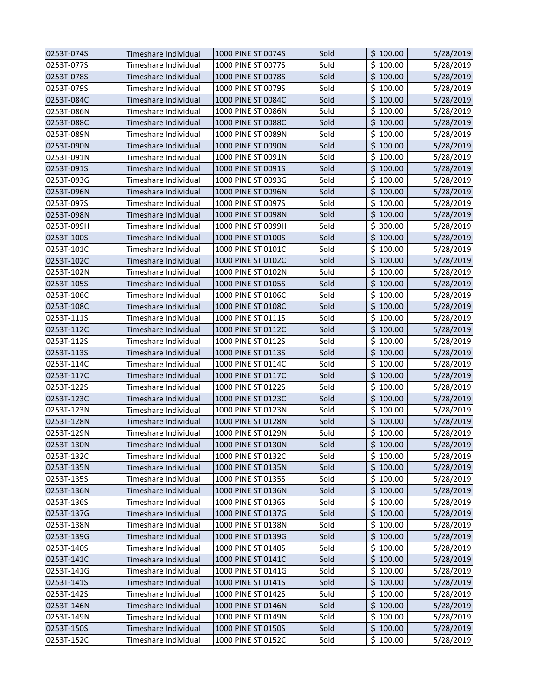| 0253T-074S | Timeshare Individual | 1000 PINE ST 0074S | Sold | \$100.00 | 5/28/2019 |
|------------|----------------------|--------------------|------|----------|-----------|
| 0253T-077S | Timeshare Individual | 1000 PINE ST 0077S | Sold | \$100.00 | 5/28/2019 |
| 0253T-078S | Timeshare Individual | 1000 PINE ST 0078S | Sold | \$100.00 | 5/28/2019 |
| 0253T-079S | Timeshare Individual | 1000 PINE ST 0079S | Sold | \$100.00 | 5/28/2019 |
| 0253T-084C | Timeshare Individual | 1000 PINE ST 0084C | Sold | \$100.00 | 5/28/2019 |
| 0253T-086N | Timeshare Individual | 1000 PINE ST 0086N | Sold | \$100.00 | 5/28/2019 |
| 0253T-088C | Timeshare Individual | 1000 PINE ST 0088C | Sold | \$100.00 | 5/28/2019 |
| 0253T-089N | Timeshare Individual | 1000 PINE ST 0089N | Sold | \$100.00 | 5/28/2019 |
| 0253T-090N | Timeshare Individual | 1000 PINE ST 0090N | Sold | \$100.00 | 5/28/2019 |
| 0253T-091N | Timeshare Individual | 1000 PINE ST 0091N | Sold | \$100.00 | 5/28/2019 |
| 0253T-091S | Timeshare Individual | 1000 PINE ST 0091S | Sold | \$100.00 | 5/28/2019 |
| 0253T-093G | Timeshare Individual | 1000 PINE ST 0093G | Sold | \$100.00 | 5/28/2019 |
| 0253T-096N | Timeshare Individual | 1000 PINE ST 0096N | Sold | \$100.00 | 5/28/2019 |
| 0253T-097S | Timeshare Individual | 1000 PINE ST 0097S | Sold | \$100.00 | 5/28/2019 |
| 0253T-098N | Timeshare Individual | 1000 PINE ST 0098N | Sold | \$100.00 | 5/28/2019 |
| 0253T-099H | Timeshare Individual | 1000 PINE ST 0099H | Sold | \$300.00 | 5/28/2019 |
| 0253T-100S | Timeshare Individual | 1000 PINE ST 0100S | Sold | \$100.00 | 5/28/2019 |
| 0253T-101C | Timeshare Individual | 1000 PINE ST 0101C | Sold | \$100.00 | 5/28/2019 |
| 0253T-102C | Timeshare Individual | 1000 PINE ST 0102C | Sold | \$100.00 | 5/28/2019 |
| 0253T-102N | Timeshare Individual | 1000 PINE ST 0102N | Sold | \$100.00 | 5/28/2019 |
| 0253T-105S | Timeshare Individual | 1000 PINE ST 0105S | Sold | \$100.00 | 5/28/2019 |
| 0253T-106C | Timeshare Individual | 1000 PINE ST 0106C | Sold | \$100.00 | 5/28/2019 |
| 0253T-108C | Timeshare Individual | 1000 PINE ST 0108C | Sold | \$100.00 | 5/28/2019 |
| 0253T-111S | Timeshare Individual | 1000 PINE ST 0111S | Sold | \$100.00 | 5/28/2019 |
| 0253T-112C | Timeshare Individual | 1000 PINE ST 0112C | Sold | \$100.00 | 5/28/2019 |
| 0253T-112S | Timeshare Individual | 1000 PINE ST 0112S | Sold | \$100.00 | 5/28/2019 |
| 0253T-113S | Timeshare Individual | 1000 PINE ST 0113S | Sold | \$100.00 | 5/28/2019 |
| 0253T-114C | Timeshare Individual | 1000 PINE ST 0114C | Sold | \$100.00 | 5/28/2019 |
| 0253T-117C | Timeshare Individual | 1000 PINE ST 0117C | Sold | \$100.00 | 5/28/2019 |
| 0253T-122S | Timeshare Individual | 1000 PINE ST 0122S | Sold | \$100.00 | 5/28/2019 |
| 0253T-123C | Timeshare Individual | 1000 PINE ST 0123C | Sold | \$100.00 | 5/28/2019 |
| 0253T-123N | Timeshare Individual | 1000 PINE ST 0123N | Sold | \$100.00 | 5/28/2019 |
| 0253T-128N | Timeshare Individual | 1000 PINE ST 0128N | Sold | \$100.00 | 5/28/2019 |
| 0253T-129N | Timeshare Individual | 1000 PINE ST 0129N | Sold | \$100.00 | 5/28/2019 |
| 0253T-130N | Timeshare Individual | 1000 PINE ST 0130N | Sold | \$100.00 | 5/28/2019 |
| 0253T-132C | Timeshare Individual | 1000 PINE ST 0132C | Sold | \$100.00 | 5/28/2019 |
| 0253T-135N | Timeshare Individual | 1000 PINE ST 0135N | Sold | \$100.00 | 5/28/2019 |
| 0253T-135S | Timeshare Individual | 1000 PINE ST 0135S | Sold | \$100.00 | 5/28/2019 |
| 0253T-136N | Timeshare Individual | 1000 PINE ST 0136N | Sold | \$100.00 | 5/28/2019 |
| 0253T-136S | Timeshare Individual | 1000 PINE ST 0136S | Sold | \$100.00 | 5/28/2019 |
| 0253T-137G | Timeshare Individual | 1000 PINE ST 0137G | Sold | \$100.00 | 5/28/2019 |
| 0253T-138N | Timeshare Individual | 1000 PINE ST 0138N | Sold | \$100.00 | 5/28/2019 |
| 0253T-139G | Timeshare Individual | 1000 PINE ST 0139G | Sold | \$100.00 | 5/28/2019 |
| 0253T-140S | Timeshare Individual | 1000 PINE ST 0140S | Sold | \$100.00 | 5/28/2019 |
| 0253T-141C | Timeshare Individual | 1000 PINE ST 0141C | Sold | \$100.00 | 5/28/2019 |
| 0253T-141G | Timeshare Individual | 1000 PINE ST 0141G | Sold | \$100.00 | 5/28/2019 |
| 0253T-141S | Timeshare Individual | 1000 PINE ST 0141S | Sold | \$100.00 | 5/28/2019 |
| 0253T-142S | Timeshare Individual | 1000 PINE ST 0142S | Sold | \$100.00 | 5/28/2019 |
| 0253T-146N | Timeshare Individual | 1000 PINE ST 0146N | Sold | \$100.00 | 5/28/2019 |
| 0253T-149N | Timeshare Individual | 1000 PINE ST 0149N | Sold | \$100.00 | 5/28/2019 |
| 0253T-150S | Timeshare Individual | 1000 PINE ST 0150S | Sold | \$100.00 | 5/28/2019 |
| 0253T-152C | Timeshare Individual | 1000 PINE ST 0152C | Sold | \$100.00 | 5/28/2019 |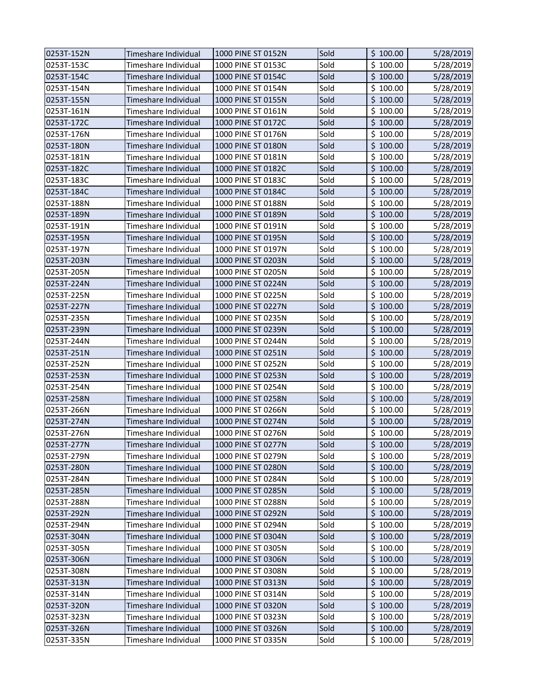| 0253T-152N | Timeshare Individual | 1000 PINE ST 0152N | Sold | \$100.00 | 5/28/2019 |
|------------|----------------------|--------------------|------|----------|-----------|
| 0253T-153C | Timeshare Individual | 1000 PINE ST 0153C | Sold | \$100.00 | 5/28/2019 |
| 0253T-154C | Timeshare Individual | 1000 PINE ST 0154C | Sold | \$100.00 | 5/28/2019 |
| 0253T-154N | Timeshare Individual | 1000 PINE ST 0154N | Sold | \$100.00 | 5/28/2019 |
| 0253T-155N | Timeshare Individual | 1000 PINE ST 0155N | Sold | \$100.00 | 5/28/2019 |
| 0253T-161N | Timeshare Individual | 1000 PINE ST 0161N | Sold | \$100.00 | 5/28/2019 |
| 0253T-172C | Timeshare Individual | 1000 PINE ST 0172C | Sold | \$100.00 | 5/28/2019 |
| 0253T-176N | Timeshare Individual | 1000 PINE ST 0176N | Sold | \$100.00 | 5/28/2019 |
| 0253T-180N | Timeshare Individual | 1000 PINE ST 0180N | Sold | \$100.00 | 5/28/2019 |
| 0253T-181N | Timeshare Individual | 1000 PINE ST 0181N | Sold | \$100.00 | 5/28/2019 |
| 0253T-182C | Timeshare Individual | 1000 PINE ST 0182C | Sold | \$100.00 | 5/28/2019 |
| 0253T-183C | Timeshare Individual | 1000 PINE ST 0183C | Sold | \$100.00 | 5/28/2019 |
| 0253T-184C | Timeshare Individual | 1000 PINE ST 0184C | Sold | \$100.00 | 5/28/2019 |
| 0253T-188N | Timeshare Individual | 1000 PINE ST 0188N | Sold | \$100.00 | 5/28/2019 |
| 0253T-189N | Timeshare Individual | 1000 PINE ST 0189N | Sold | \$100.00 | 5/28/2019 |
| 0253T-191N | Timeshare Individual | 1000 PINE ST 0191N | Sold | \$100.00 | 5/28/2019 |
| 0253T-195N | Timeshare Individual | 1000 PINE ST 0195N | Sold | \$100.00 | 5/28/2019 |
| 0253T-197N | Timeshare Individual | 1000 PINE ST 0197N | Sold | \$100.00 | 5/28/2019 |
| 0253T-203N | Timeshare Individual | 1000 PINE ST 0203N | Sold | \$100.00 | 5/28/2019 |
| 0253T-205N | Timeshare Individual | 1000 PINE ST 0205N | Sold | \$100.00 | 5/28/2019 |
| 0253T-224N | Timeshare Individual | 1000 PINE ST 0224N | Sold | \$100.00 | 5/28/2019 |
| 0253T-225N | Timeshare Individual | 1000 PINE ST 0225N | Sold | \$100.00 | 5/28/2019 |
| 0253T-227N | Timeshare Individual | 1000 PINE ST 0227N | Sold | \$100.00 | 5/28/2019 |
| 0253T-235N | Timeshare Individual | 1000 PINE ST 0235N | Sold | \$100.00 | 5/28/2019 |
| 0253T-239N | Timeshare Individual | 1000 PINE ST 0239N | Sold | \$100.00 | 5/28/2019 |
| 0253T-244N | Timeshare Individual | 1000 PINE ST 0244N | Sold | \$100.00 | 5/28/2019 |
| 0253T-251N | Timeshare Individual | 1000 PINE ST 0251N | Sold | \$100.00 | 5/28/2019 |
| 0253T-252N | Timeshare Individual | 1000 PINE ST 0252N | Sold | \$100.00 | 5/28/2019 |
| 0253T-253N | Timeshare Individual | 1000 PINE ST 0253N | Sold | \$100.00 | 5/28/2019 |
| 0253T-254N | Timeshare Individual | 1000 PINE ST 0254N | Sold | \$100.00 | 5/28/2019 |
| 0253T-258N | Timeshare Individual | 1000 PINE ST 0258N | Sold | \$100.00 | 5/28/2019 |
| 0253T-266N | Timeshare Individual | 1000 PINE ST 0266N | Sold | \$100.00 | 5/28/2019 |
| 0253T-274N | Timeshare Individual | 1000 PINE ST 0274N | Sold | \$100.00 | 5/28/2019 |
| 0253T-276N | Timeshare Individual | 1000 PINE ST 0276N | Sold | \$100.00 | 5/28/2019 |
| 0253T-277N | Timeshare Individual | 1000 PINE ST 0277N | Sold | \$100.00 | 5/28/2019 |
| 0253T-279N | Timeshare Individual | 1000 PINE ST 0279N | Sold | \$100.00 | 5/28/2019 |
| 0253T-280N | Timeshare Individual | 1000 PINE ST 0280N | Sold | \$100.00 | 5/28/2019 |
| 0253T-284N | Timeshare Individual | 1000 PINE ST 0284N | Sold | \$100.00 | 5/28/2019 |
| 0253T-285N | Timeshare Individual | 1000 PINE ST 0285N | Sold | \$100.00 | 5/28/2019 |
| 0253T-288N | Timeshare Individual | 1000 PINE ST 0288N | Sold | \$100.00 | 5/28/2019 |
| 0253T-292N | Timeshare Individual | 1000 PINE ST 0292N | Sold | \$100.00 | 5/28/2019 |
| 0253T-294N | Timeshare Individual | 1000 PINE ST 0294N | Sold | \$100.00 | 5/28/2019 |
| 0253T-304N | Timeshare Individual | 1000 PINE ST 0304N | Sold | \$100.00 | 5/28/2019 |
| 0253T-305N | Timeshare Individual | 1000 PINE ST 0305N | Sold | \$100.00 | 5/28/2019 |
| 0253T-306N | Timeshare Individual | 1000 PINE ST 0306N | Sold | \$100.00 | 5/28/2019 |
| 0253T-308N | Timeshare Individual | 1000 PINE ST 0308N | Sold | \$100.00 | 5/28/2019 |
| 0253T-313N | Timeshare Individual | 1000 PINE ST 0313N | Sold | \$100.00 | 5/28/2019 |
| 0253T-314N | Timeshare Individual | 1000 PINE ST 0314N | Sold | \$100.00 | 5/28/2019 |
| 0253T-320N | Timeshare Individual | 1000 PINE ST 0320N | Sold | \$100.00 | 5/28/2019 |
| 0253T-323N | Timeshare Individual | 1000 PINE ST 0323N | Sold | \$100.00 | 5/28/2019 |
| 0253T-326N | Timeshare Individual | 1000 PINE ST 0326N | Sold | \$100.00 | 5/28/2019 |
| 0253T-335N | Timeshare Individual | 1000 PINE ST 0335N | Sold | \$100.00 | 5/28/2019 |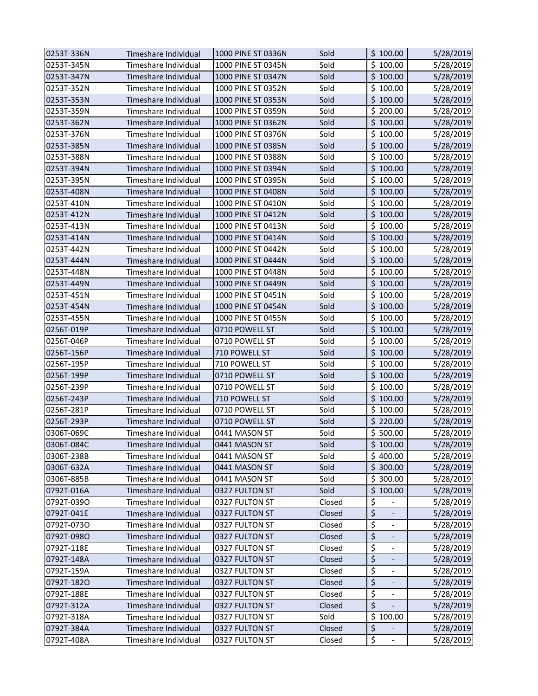| 0253T-336N | Timeshare Individual | 1000 PINE ST 0336N | Sold   | \$100.00                       | 5/28/2019 |
|------------|----------------------|--------------------|--------|--------------------------------|-----------|
| 0253T-345N | Timeshare Individual | 1000 PINE ST 0345N | Sold   | \$100.00                       | 5/28/2019 |
| 0253T-347N | Timeshare Individual | 1000 PINE ST 0347N | Sold   | \$100.00                       | 5/28/2019 |
| 0253T-352N | Timeshare Individual | 1000 PINE ST 0352N | Sold   | \$100.00                       | 5/28/2019 |
| 0253T-353N | Timeshare Individual | 1000 PINE ST 0353N | Sold   | \$100.00                       | 5/28/2019 |
| 0253T-359N | Timeshare Individual | 1000 PINE ST 0359N | Sold   | \$200.00                       | 5/28/2019 |
| 0253T-362N | Timeshare Individual | 1000 PINE ST 0362N | Sold   | \$100.00                       | 5/28/2019 |
| 0253T-376N | Timeshare Individual | 1000 PINE ST 0376N | Sold   | \$100.00                       | 5/28/2019 |
| 0253T-385N | Timeshare Individual | 1000 PINE ST 0385N | Sold   | \$100.00                       | 5/28/2019 |
| 0253T-388N | Timeshare Individual | 1000 PINE ST 0388N | Sold   | \$100.00                       | 5/28/2019 |
| 0253T-394N | Timeshare Individual | 1000 PINE ST 0394N | Sold   | \$100.00                       | 5/28/2019 |
| 0253T-395N | Timeshare Individual | 1000 PINE ST 0395N | Sold   | \$100.00                       | 5/28/2019 |
| 0253T-408N | Timeshare Individual | 1000 PINE ST 0408N | Sold   | \$100.00                       | 5/28/2019 |
| 0253T-410N | Timeshare Individual | 1000 PINE ST 0410N | Sold   | \$100.00                       | 5/28/2019 |
| 0253T-412N | Timeshare Individual | 1000 PINE ST 0412N | Sold   | \$100.00                       | 5/28/2019 |
| 0253T-413N | Timeshare Individual | 1000 PINE ST 0413N | Sold   | \$100.00                       | 5/28/2019 |
| 0253T-414N | Timeshare Individual | 1000 PINE ST 0414N | Sold   | \$100.00                       | 5/28/2019 |
| 0253T-442N | Timeshare Individual | 1000 PINE ST 0442N | Sold   | \$100.00                       | 5/28/2019 |
| 0253T-444N | Timeshare Individual | 1000 PINE ST 0444N | Sold   | \$100.00                       | 5/28/2019 |
| 0253T-448N | Timeshare Individual | 1000 PINE ST 0448N | Sold   | \$100.00                       | 5/28/2019 |
| 0253T-449N | Timeshare Individual | 1000 PINE ST 0449N | Sold   | \$100.00                       | 5/28/2019 |
| 0253T-451N | Timeshare Individual | 1000 PINE ST 0451N | Sold   | \$100.00                       | 5/28/2019 |
| 0253T-454N | Timeshare Individual | 1000 PINE ST 0454N | Sold   | \$100.00                       | 5/28/2019 |
| 0253T-455N | Timeshare Individual | 1000 PINE ST 0455N | Sold   | \$100.00                       | 5/28/2019 |
| 0256T-019P | Timeshare Individual | 0710 POWELL ST     | Sold   | \$100.00                       | 5/28/2019 |
| 0256T-046P | Timeshare Individual | 0710 POWELL ST     | Sold   | \$100.00                       | 5/28/2019 |
| 0256T-156P | Timeshare Individual | 710 POWELL ST      | Sold   | \$100.00                       | 5/28/2019 |
| 0256T-195P | Timeshare Individual | 710 POWELL ST      | Sold   | \$100.00                       | 5/28/2019 |
| 0256T-199P | Timeshare Individual | 0710 POWELL ST     | Sold   | \$100.00                       | 5/28/2019 |
| 0256T-239P | Timeshare Individual | 0710 POWELL ST     | Sold   | \$100.00                       | 5/28/2019 |
| 0256T-243P | Timeshare Individual | 710 POWELL ST      | Sold   | \$100.00                       | 5/28/2019 |
| 0256T-281P | Timeshare Individual | 0710 POWELL ST     | Sold   | \$100.00                       | 5/28/2019 |
| 0256T-293P | Timeshare Individual | 0710 POWELL ST     | Sold   | \$220.00                       | 5/28/2019 |
| 0306T-069C | Timeshare Individual | 0441 MASON ST      | Sold   | \$500.00                       | 5/28/2019 |
| 0306T-084C | Timeshare Individual | 0441 MASON ST      | Sold   | \$100.00                       | 5/28/2019 |
| 0306T-238B | Timeshare Individual | 0441 MASON ST      | Sold   | \$400.00                       | 5/28/2019 |
| 0306T-632A | Timeshare Individual | 0441 MASON ST      | Sold   | \$300.00                       | 5/28/2019 |
| 0306T-885B | Timeshare Individual | 0441 MASON ST      | Sold   | \$300.00                       | 5/28/2019 |
| 0792T-016A | Timeshare Individual | 0327 FULTON ST     | Sold   | \$100.00                       | 5/28/2019 |
| 0792T-039O | Timeshare Individual | 0327 FULTON ST     | Closed | \$                             | 5/28/2019 |
| 0792T-041E | Timeshare Individual | 0327 FULTON ST     | Closed | \$<br>$\overline{\phantom{a}}$ | 5/28/2019 |
| 0792T-073O | Timeshare Individual | 0327 FULTON ST     | Closed | \$<br>$\overline{\phantom{a}}$ | 5/28/2019 |
| 0792T-098O | Timeshare Individual | 0327 FULTON ST     | Closed | \$                             | 5/28/2019 |
| 0792T-118E | Timeshare Individual | 0327 FULTON ST     | Closed | \$                             | 5/28/2019 |
| 0792T-148A | Timeshare Individual | 0327 FULTON ST     | Closed | $\overline{\mathcal{L}}$       | 5/28/2019 |
| 0792T-159A | Timeshare Individual | 0327 FULTON ST     | Closed | \$<br>$\overline{\phantom{a}}$ | 5/28/2019 |
| 0792T-182O | Timeshare Individual | 0327 FULTON ST     | Closed | \$<br>$\overline{\phantom{a}}$ | 5/28/2019 |
| 0792T-188E | Timeshare Individual | 0327 FULTON ST     | Closed | \$<br>$\blacksquare$           | 5/28/2019 |
| 0792T-312A | Timeshare Individual | 0327 FULTON ST     | Closed | \$                             | 5/28/2019 |
| 0792T-318A | Timeshare Individual | 0327 FULTON ST     | Sold   | \$100.00                       | 5/28/2019 |
| 0792T-384A | Timeshare Individual | 0327 FULTON ST     | Closed | \$                             | 5/28/2019 |
| 0792T-408A | Timeshare Individual | 0327 FULTON ST     | Closed | \$<br>$\overline{\phantom{a}}$ | 5/28/2019 |